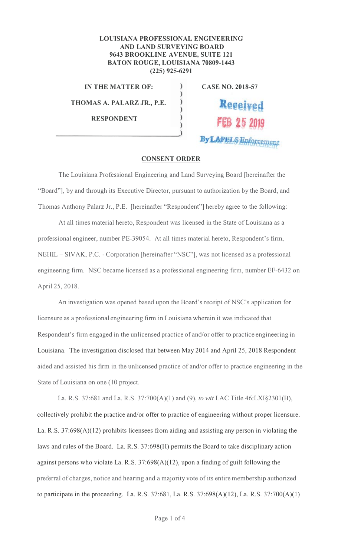## **LOUISIANA PROFESSIONAL ENGINEERING AND LAND SURVEYING BOARD** 9643 BROOKLINE AVENUE, SUITE 121 **BATON ROUGE, LOUISIANA 70809-1443**  $(225)$  925-6291

)

)  $\lambda$ 

 $\mathcal{E}$ Ï

ÿ

**IN THE MATTER OF:** 

THOMAS A. PALARZ JR., P.E.

**RESPONDENT** 

**CASE NO. 2018-57** 

Received

By LAPELS Enforcement

## **CONSENT ORDER**

The Louisiana Professional Engineering and Land Surveying Board [hereinafter the "Board"], by and through its Executive Director, pursuant to authorization by the Board, and Thomas Anthony Palarz Jr., P.E. [hereinafter "Respondent"] hereby agree to the following:

At all times material hereto, Respondent was licensed in the State of Louisiana as a professional engineer, number PE-39054. At all times material hereto, Respondent's firm, NEHIL – SIVAK, P.C. - Corporation [hereinafter "NSC"], was not licensed as a professional engineering firm. NSC became licensed as a professional engineering firm, number EF-6432 on April 25, 2018.

An investigation was opened based upon the Board's receipt of NSC's application for licensure as a professional engineering firm in Louisiana wherein it was indicated that Respondent's firm engaged in the unlicensed practice of and/or offer to practice engineering in Louisiana. The investigation disclosed that between May 2014 and April 25, 2018 Respondent aided and assisted his firm in the unlicensed practice of and/or offer to practice engineering in the State of Louisiana on one (10 project.

La. R.S. 37:681 and La. R.S. 37:700(A)(1) and (9), to wit LAC Title 46:LXI§2301(B), collectively prohibit the practice and/or offer to practice of engineering without proper licensure. La. R.S.  $37:698(A)(12)$  prohibits licensees from aiding and assisting any person in violating the laws and rules of the Board. La. R.S. 37:698(H) permits the Board to take disciplinary action against persons who violate La. R.S.  $37:698(A)(12)$ , upon a finding of guilt following the preferral of charges, notice and hearing and a majority vote of its entire membership authorized to participate in the proceeding. La. R.S. 37:681, La. R.S. 37:698(A)(12), La. R.S. 37:700(A)(1)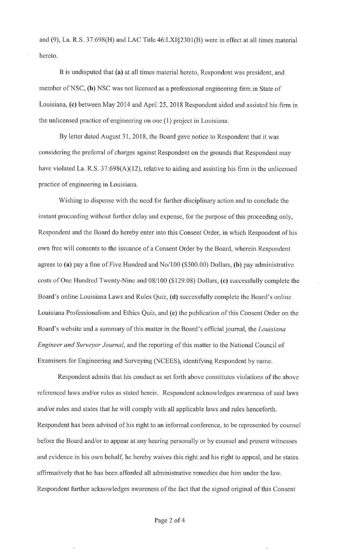and (9), La. R.S. 37:698(H) and LAC Title 46:LXI§230 l(B) were in effect at all times material hereto.

It is undisputed that **(a)** at all times material hereto, Respondent was president, and member of NSC, (b) NSC was not licensed as a professional engineering firm in State of Louisiana, (c) between May 2014 and April 25, 2018 Respondent aided and assisted his firm in the unlicensed practice of engineering on one (1) project in Louisiana.

By letter dated August 31, 2018, the Board gave notice to Respondent that it was considering the preferral of charges against Respondent on the grounds that Respondent may have violated La. R.S. 37:698(A)(12), relative to aiding and assisting his firm in the unlicensed practice of engineering in Louisiana.

Wishing to dispense with the need for further disciplinary action and to conclude the instant proceeding without further delay and expense, for the purpose of this proceeding only, Respondent and the Board do hereby enter into this Consent Order, in which Respondent of his own free will consents to the issuance of a Consent Order by the Board, wherein Respondent agrees to **(a)** pay a fine of Five Hundred and No/100 (\$500.00) Dollars, **(b)** pay administrative costs of One Hundred Twenty-Nine and 08/100 (\$129.08) Dollars, **(c)** successfully complete the Board's online Louisiana Laws and Rules Quiz, **(d)** successfully complete the Board's online Louisiana Professionalism and Ethics Quiz, and (e) the publication of this Consent Order on the Board's website and a summary of this matter in the Board's official journal, the *Louisiana Engineer and Surveyor Journal,* and the reporting of this matter to the National Council of Examiners for Engineering and Surveying (NCEES), identifying Respondent by name.

Respondent admits that his conduct as set forth above constitutes violations of the above referenced laws and/or mles as stated herein. Respondent acknowledges awareness of said laws and/or rules and states that he will comply with all applicable laws and rules henceforth. Respondent has been advised of his right to an informal conference, to be represented by counsel before the Board and/or to appear at any hearing personally or by counsel and present witnesses and evidence in his own behalf, he hereby waives this right and his right to appeal, and he states affirmatively that he has been afforded all administrative remedies due him under the law. Respondent further acknowledges awareness of the fact that the signed original of this Consent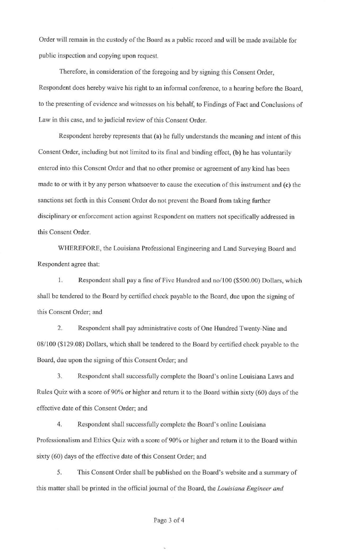Order will remain in the custody of the Board as a public record and will be made available for public inspection and copying upon request.

Therefore, in consideration of the foregoing and by signing this Consent Order, Respondent does hereby waive his right to an informal conference, to a hearing before the Board, to the presenting of evidence and witnesses on his behalf, to Findings of Fact and Conclusions of Law in this case, and to judicial review of this Consent Order.

Respondent hereby represents that (a) he fully understands the meaning and intent of this Consent Order, including but not limited to its final and binding effect, (b) he has voluntarily entered into this Consent Order and that no other promise or agreement of any kind has been made to or with it by any person whatsoever to cause the execution of this instrument and (c) the sanctions set forth in this Consent Order do not prevent the Board from taking further disciplinary or enforcement action against Respondent on matters not specifically addressed in this Consent Order.

WHEREFORE, the Louisiana Professional Engineering and Land Surveying Board and Respondent agree that:

l. Respondent shall pay a fine of Five Hundred and no/100 (\$500.00) Dollars, which shall be tendered to the Board by certified check payable to the Board, due upon the signing of this Consent Order; and

2. Respondent shall pay administrative costs of One Hundred Twenty-Nine and 08/100 (\$129.08) Dollars, which shall be tendered to the Board by certified check payable to the Board, due upon the signing of this Consent Order; and

3. Respondent shall successfully complete the Board's online Louisiana Laws and Rules Quiz with a score of 90% or higher and return it to the Board within sixty (60) days of the effective date of this Consent Order; and

4. Respondent shall successfully complete the Board's online Louisiana Professionalism and Ethics Quiz with a score of 90% or higher and return it to the Board within sixty (60) days of the effective date of this Consent Order; and

5. This Consent Order shall be published on the Board's website and a summary of this matter shall be printed in the official journal of the Board, the *Louisiana Engineer and* 

## Page 3 of 4